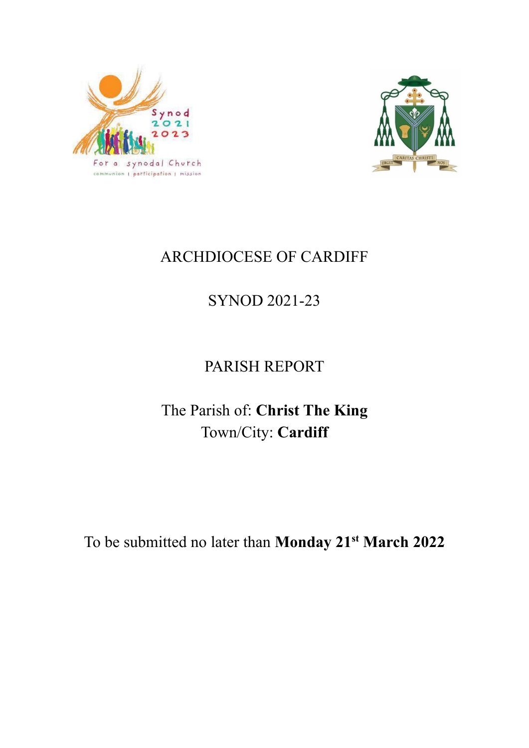



# ARCHDIOCESE OF CARDIFF

# SYNOD 2021-23

# PARISH REPORT

# The Parish of: **Christ The King** Town/City: **Cardiff**

To be submitted no later than **Monday 21st March 2022**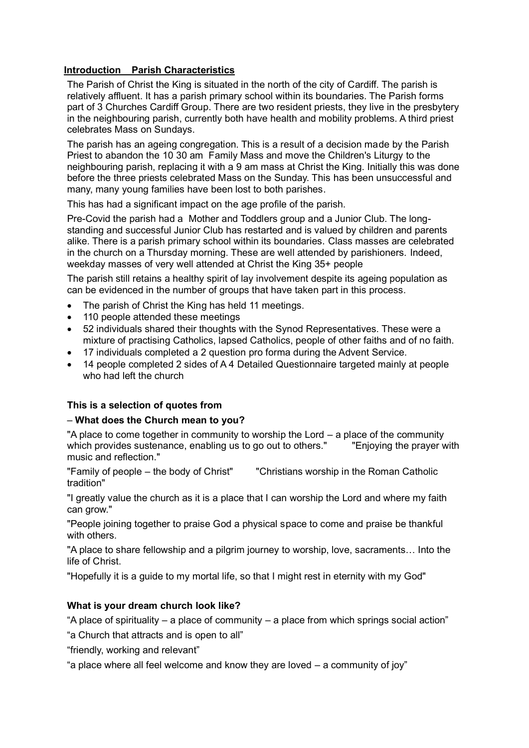#### **Introduction Parish Characteristics**

The Parish of Christ the King is situated in the north of the city of Cardiff. The parish is relatively affluent. It has a parish primary school within its boundaries. The Parish forms part of 3 Churches Cardiff Group. There are two resident priests, they live in the presbytery in the neighbouring parish, currently both have health and mobility problems. A third priest celebrates Mass on Sundays.

The parish has an ageing congregation. This is a result of a decision made by the Parish Priest to abandon the 10 30 am Family Mass and move the Children's Liturgy to the neighbouring parish, replacing it with a 9 am mass at Christ the King. Initially this was done before the three priests celebrated Mass on the Sunday. This has been unsuccessful and many, many young families have been lost to both parishes.

This has had a significant impact on the age profile of the parish.

Pre-Covid the parish had a Mother and Toddlers group and a Junior Club. The longstanding and successful Junior Club has restarted and is valued by children and parents alike. There is a parish primary school within its boundaries. Class masses are celebrated in the church on a Thursday morning. These are well attended by parishioners. Indeed, weekday masses of very well attended at Christ the King 35+ people

The parish still retains a healthy spirit of lay involvement despite its ageing population as can be evidenced in the number of groups that have taken part in this process.

- The parish of Christ the King has held 11 meetings.
- 110 people attended these meetings
- 52 individuals shared their thoughts with the Synod Representatives. These were a mixture of practising Catholics, lapsed Catholics, people of other faiths and of no faith.
- 17 individuals completed a 2 question pro forma during the Advent Service.
- 14 people completed 2 sides of A 4 Detailed Questionnaire targeted mainly at people who had left the church

#### **This is a selection of quotes from**

#### – **What does the Church mean to you?**

"A place to come together in community to worship the Lord – a place of the community which provides sustenance, enabling us to go out to others." Thioving the prayer with music and reflection."

"Family of people – the body of Christ" "Christians worship in the Roman Catholic tradition"

"I greatly value the church as it is a place that I can worship the Lord and where my faith can grow."

"People joining together to praise God a physical space to come and praise be thankful with others.

"A place to share fellowship and a pilgrim journey to worship, love, sacraments… Into the life of Christ.

"Hopefully it is a guide to my mortal life, so that I might rest in eternity with my God"

# **What is your dream church look like?**

"A place of spirituality – a place of community – a place from which springs social action"

"a Church that attracts and is open to all"

"friendly, working and relevant"

"a place where all feel welcome and know they are loved – a community of joy"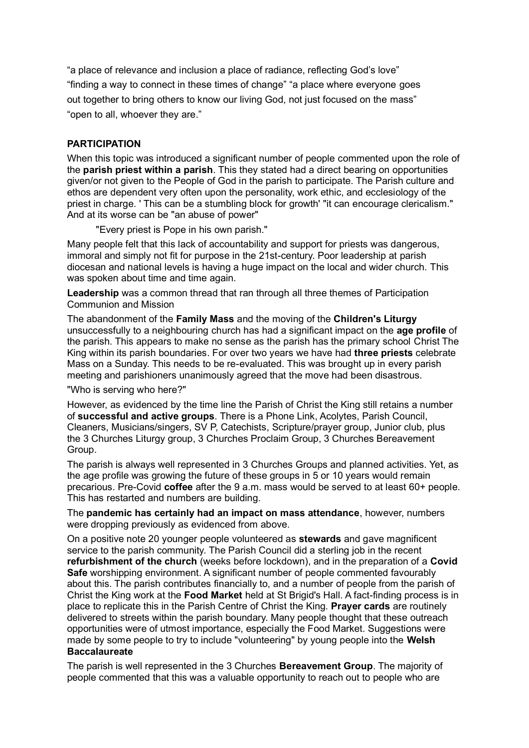"a place of relevance and inclusion a place of radiance, reflecting God's love" "finding a way to connect in these times of change" "a place where everyone goes out together to bring others to know our living God, not just focused on the mass" "open to all, whoever they are."

#### **PARTICIPATION**

When this topic was introduced a significant number of people commented upon the role of the **parish priest within a parish**. This they stated had a direct bearing on opportunities given/or not given to the People of God in the parish to participate. The Parish culture and ethos are dependent very often upon the personality, work ethic, and ecclesiology of the priest in charge. ' This can be a stumbling block for growth' "it can encourage clericalism." And at its worse can be "an abuse of power"

"Every priest is Pope in his own parish."

Many people felt that this lack of accountability and support for priests was dangerous, immoral and simply not fit for purpose in the 21st-century. Poor leadership at parish diocesan and national levels is having a huge impact on the local and wider church. This was spoken about time and time again.

**Leadership** was a common thread that ran through all three themes of Participation Communion and Mission

The abandonment of the **Family Mass** and the moving of the **Children's Liturgy** unsuccessfully to a neighbouring church has had a significant impact on the **age profile** of the parish. This appears to make no sense as the parish has the primary school Christ The King within its parish boundaries. For over two years we have had **three priests** celebrate Mass on a Sunday. This needs to be re-evaluated. This was brought up in every parish meeting and parishioners unanimously agreed that the move had been disastrous.

"Who is serving who here?"

However, as evidenced by the time line the Parish of Christ the King still retains a number of **successful and active groups**. There is a Phone Link, Acolytes, Parish Council, Cleaners, Musicians/singers, SV P, Catechists, Scripture/prayer group, Junior club, plus the 3 Churches Liturgy group, 3 Churches Proclaim Group, 3 Churches Bereavement Group.

The parish is always well represented in 3 Churches Groups and planned activities. Yet, as the age profile was growing the future of these groups in 5 or 10 years would remain precarious. Pre-Covid **coffee** after the 9 a.m. mass would be served to at least 60+ people. This has restarted and numbers are building.

The **pandemic has certainly had an impact on mass attendance**, however, numbers were dropping previously as evidenced from above.

On a positive note 20 younger people volunteered as **stewards** and gave magnificent service to the parish community. The Parish Council did a sterling job in the recent **refurbishment of the church** (weeks before lockdown), and in the preparation of a **Covid Safe** worshipping environment. A significant number of people commented favourably about this. The parish contributes financially to, and a number of people from the parish of Christ the King work at the **Food Market** held at St Brigid's Hall. A fact-finding process is in place to replicate this in the Parish Centre of Christ the King. **Prayer cards** are routinely delivered to streets within the parish boundary. Many people thought that these outreach opportunities were of utmost importance, especially the Food Market. Suggestions were made by some people to try to include "volunteering" by young people into the **Welsh Baccalaureate**

The parish is well represented in the 3 Churches **Bereavement Group**. The majority of people commented that this was a valuable opportunity to reach out to people who are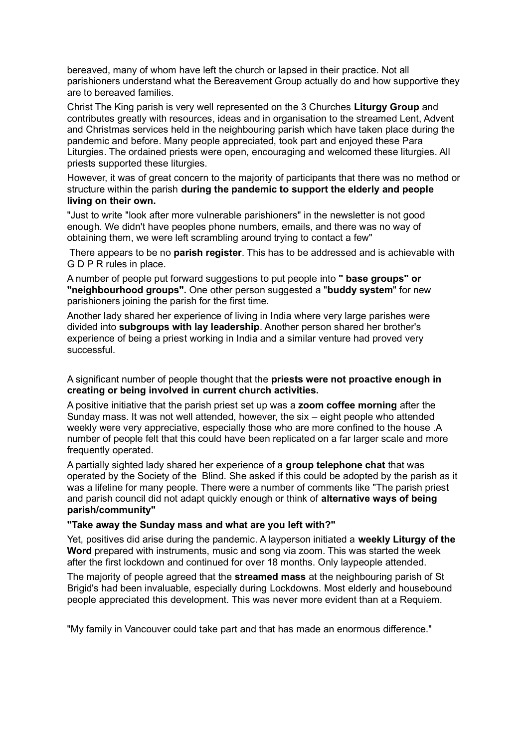bereaved, many of whom have left the church or lapsed in their practice. Not all parishioners understand what the Bereavement Group actually do and how supportive they are to bereaved families.

Christ The King parish is very well represented on the 3 Churches **Liturgy Group** and contributes greatly with resources, ideas and in organisation to the streamed Lent, Advent and Christmas services held in the neighbouring parish which have taken place during the pandemic and before. Many people appreciated, took part and enjoyed these Para Liturgies. The ordained priests were open, encouraging and welcomed these liturgies. All priests supported these liturgies.

However, it was of great concern to the majority of participants that there was no method or structure within the parish **during the pandemic to support the elderly and people living on their own.**

"Just to write "look after more vulnerable parishioners" in the newsletter is not good enough. We didn't have peoples phone numbers, emails, and there was no way of obtaining them, we were left scrambling around trying to contact a few"

There appears to be no **parish register**. This has to be addressed and is achievable with G D P R rules in place.

A number of people put forward suggestions to put people into **" base groups" or "neighbourhood groups".** One other person suggested a "**buddy system**" for new parishioners joining the parish for the first time.

Another lady shared her experience of living in India where very large parishes were divided into **subgroups with lay leadership**. Another person shared her brother's experience of being a priest working in India and a similar venture had proved very successful.

A significant number of people thought that the **priests were not proactive enough in creating or being involved in current church activities.**

A positive initiative that the parish priest set up was a **zoom coffee morning** after the Sunday mass. It was not well attended, however, the six – eight people who attended weekly were very appreciative, especially those who are more confined to the house .A number of people felt that this could have been replicated on a far larger scale and more frequently operated.

A partially sighted lady shared her experience of a **group telephone chat** that was operated by the Society of the Blind. She asked if this could be adopted by the parish as it was a lifeline for many people. There were a number of comments like "The parish priest and parish council did not adapt quickly enough or think of **alternative ways of being parish/community"**

#### **"Take away the Sunday mass and what are you left with?"**

Yet, positives did arise during the pandemic. A layperson initiated a **weekly Liturgy of the Word** prepared with instruments, music and song via zoom. This was started the week after the first lockdown and continued for over 18 months. Only laypeople attended.

The majority of people agreed that the **streamed mass** at the neighbouring parish of St Brigid's had been invaluable, especially during Lockdowns. Most elderly and housebound people appreciated this development. This was never more evident than at a Requiem.

"My family in Vancouver could take part and that has made an enormous difference."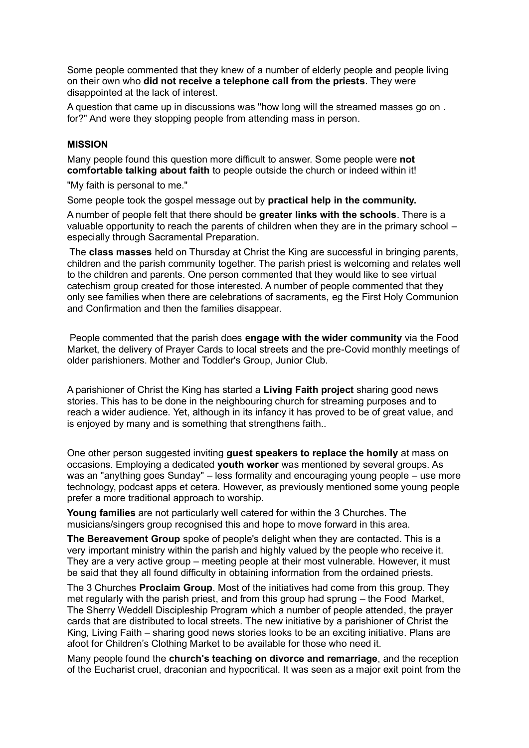Some people commented that they knew of a number of elderly people and people living on their own who **did not receive a telephone call from the priests**. They were disappointed at the lack of interest.

A question that came up in discussions was "how long will the streamed masses go on . for?" And were they stopping people from attending mass in person.

#### **MISSION**

Many people found this question more difficult to answer. Some people were **not comfortable talking about faith** to people outside the church or indeed within it!

"My faith is personal to me."

Some people took the gospel message out by **practical help in the community.**

A number of people felt that there should be **greater links with the schools**. There is a valuable opportunity to reach the parents of children when they are in the primary school – especially through Sacramental Preparation.

The **class masses** held on Thursday at Christ the King are successful in bringing parents, children and the parish community together. The parish priest is welcoming and relates well to the children and parents. One person commented that they would like to see virtual catechism group created for those interested. A number of people commented that they only see families when there are celebrations of sacraments, eg the First Holy Communion and Confirmation and then the families disappear.

People commented that the parish does **engage with the wider community** via the Food Market, the delivery of Prayer Cards to local streets and the pre-Covid monthly meetings of older parishioners. Mother and Toddler's Group, Junior Club.

A parishioner of Christ the King has started a **Living Faith project** sharing good news stories. This has to be done in the neighbouring church for streaming purposes and to reach a wider audience. Yet, although in its infancy it has proved to be of great value, and is enjoyed by many and is something that strengthens faith..

One other person suggested inviting **guest speakers to replace the homily** at mass on occasions. Employing a dedicated **youth worker** was mentioned by several groups. As was an "anything goes Sunday" – less formality and encouraging young people – use more technology, podcast apps et cetera. However, as previously mentioned some young people prefer a more traditional approach to worship.

**Young families** are not particularly well catered for within the 3 Churches. The musicians/singers group recognised this and hope to move forward in this area.

**The Bereavement Group** spoke of people's delight when they are contacted. This is a very important ministry within the parish and highly valued by the people who receive it. They are a very active group – meeting people at their most vulnerable. However, it must be said that they all found difficulty in obtaining information from the ordained priests.

The 3 Churches **Proclaim Group**. Most of the initiatives had come from this group. They met regularly with the parish priest, and from this group had sprung – the Food Market, The Sherry Weddell Discipleship Program which a number of people attended, the prayer cards that are distributed to local streets. The new initiative by a parishioner of Christ the King, Living Faith – sharing good news stories looks to be an exciting initiative. Plans are afoot for Children's Clothing Market to be available for those who need it.

Many people found the **church's teaching on divorce and remarriage**, and the reception of the Eucharist cruel, draconian and hypocritical. It was seen as a major exit point from the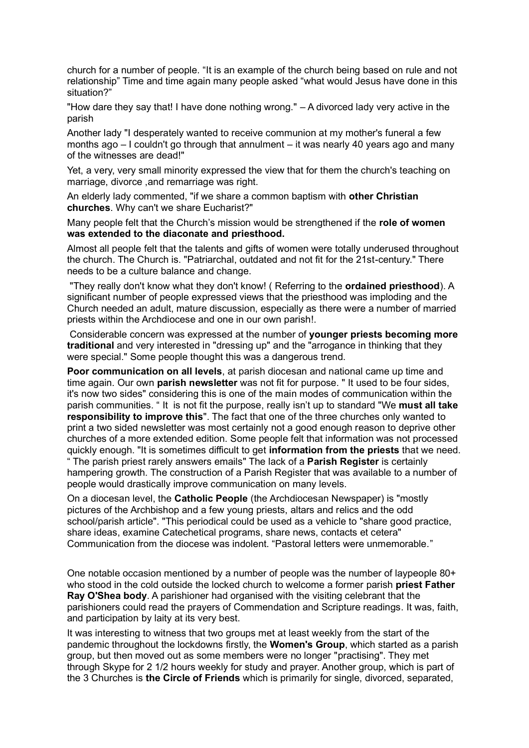church for a number of people. "It is an example of the church being based on rule and not relationship" Time and time again many people asked "what would Jesus have done in this situation?"

"How dare they say that! I have done nothing wrong." – A divorced lady very active in the parish

Another lady "I desperately wanted to receive communion at my mother's funeral a few months ago – I couldn't go through that annulment – it was nearly 40 years ago and many of the witnesses are dead!"

Yet, a very, very small minority expressed the view that for them the church's teaching on marriage, divorce ,and remarriage was right.

An elderly lady commented, "if we share a common baptism with **other Christian churches**. Why can't we share Eucharist?"

Many people felt that the Church's mission would be strengthened if the **role of women was extended to the diaconate and priesthood.**

Almost all people felt that the talents and gifts of women were totally underused throughout the church. The Church is. "Patriarchal, outdated and not fit for the 21st-century." There needs to be a culture balance and change.

"They really don't know what they don't know! ( Referring to the **ordained priesthood**). A significant number of people expressed views that the priesthood was imploding and the Church needed an adult, mature discussion, especially as there were a number of married priests within the Archdiocese and one in our own parish!.

Considerable concern was expressed at the number of **younger priests becoming more traditional** and very interested in "dressing up" and the "arrogance in thinking that they were special." Some people thought this was a dangerous trend.

**Poor communication on all levels**, at parish diocesan and national came up time and time again. Our own **parish newsletter** was not fit for purpose. " It used to be four sides, it's now two sides" considering this is one of the main modes of communication within the parish communities. " It is not fit the purpose, really isn't up to standard "We **must all take responsibility to improve this**". The fact that one of the three churches only wanted to print a two sided newsletter was most certainly not a good enough reason to deprive other churches of a more extended edition. Some people felt that information was not processed quickly enough. "It is sometimes difficult to get **information from the priests** that we need. " The parish priest rarely answers emails" The lack of a **Parish Register** is certainly hampering growth. The construction of a Parish Register that was available to a number of people would drastically improve communication on many levels.

On a diocesan level, the **Catholic People** (the Archdiocesan Newspaper) is "mostly pictures of the Archbishop and a few young priests, altars and relics and the odd school/parish article". "This periodical could be used as a vehicle to "share good practice, share ideas, examine Catechetical programs, share news, contacts et cetera" Communication from the diocese was indolent. "Pastoral letters were unmemorable."

One notable occasion mentioned by a number of people was the number of laypeople 80+ who stood in the cold outside the locked church to welcome a former parish **priest Father Ray O'Shea body**. A parishioner had organised with the visiting celebrant that the parishioners could read the prayers of Commendation and Scripture readings. It was, faith, and participation by laity at its very best.

It was interesting to witness that two groups met at least weekly from the start of the pandemic throughout the lockdowns firstly, the **Women's Group**, which started as a parish group, but then moved out as some members were no longer "practising". They met through Skype for 2 1/2 hours weekly for study and prayer. Another group, which is part of the 3 Churches is **the Circle of Friends** which is primarily for single, divorced, separated,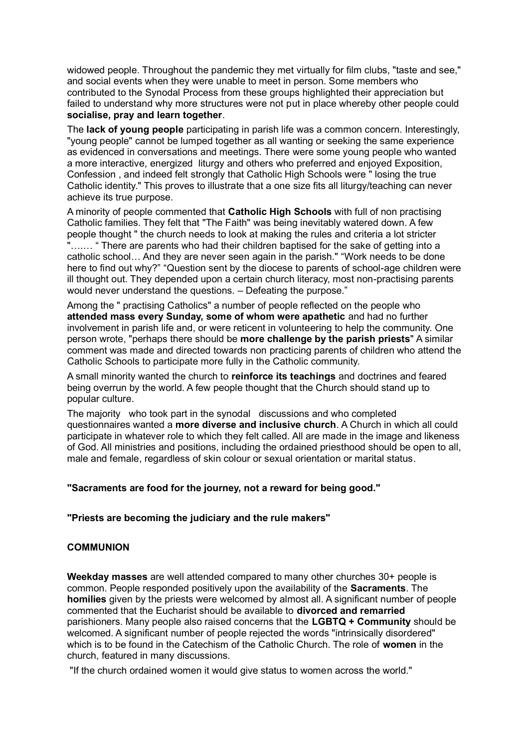widowed people. Throughout the pandemic they met virtually for film clubs, "taste and see," and social events when they were unable to meet in person. Some members who contributed to the Synodal Process from these groups highlighted their appreciation but failed to understand why more structures were not put in place whereby other people could **socialise, pray and learn together**.

The **lack of young people** participating in parish life was a common concern. Interestingly, "young people" cannot be lumped together as all wanting or seeking the same experience as evidenced in conversations and meetings. There were some young people who wanted a more interactive, energized liturgy and others who preferred and enjoyed Exposition, Confession , and indeed felt strongly that Catholic High Schools were " losing the true Catholic identity." This proves to illustrate that a one size fits all liturgy/teaching can never achieve its true purpose.

A minority of people commented that **Catholic High Schools** with full of non practising Catholic families. They felt that "The Faith" was being inevitably watered down. A few people thought " the church needs to look at making the rules and criteria a lot stricter "….… " There are parents who had their children baptised for the sake of getting into a catholic school… And they are never seen again in the parish." "Work needs to be done here to find out why?" "Question sent by the diocese to parents of school-age children were ill thought out. They depended upon a certain church literacy, most non-practising parents would never understand the questions. – Defeating the purpose."

Among the " practising Catholics" a number of people reflected on the people who **attended mass every Sunday, some of whom were apathetic** and had no further involvement in parish life and, or were reticent in volunteering to help the community. One person wrote, "perhaps there should be **more challenge by the parish priests**" A similar comment was made and directed towards non practicing parents of children who attend the Catholic Schools to participate more fully in the Catholic community.

A small minority wanted the church to **reinforce its teachings** and doctrines and feared being overrun by the world. A few people thought that the Church should stand up to popular culture.

The majority who took part in the synodal discussions and who completed questionnaires wanted a **more diverse and inclusive church**. A Church in which all could participate in whatever role to which they felt called. All are made in the image and likeness of God. All ministries and positions, including the ordained priesthood should be open to all, male and female, regardless of skin colour or sexual orientation or marital status.

#### **"Sacraments are food for the journey, not a reward for being good."**

#### **"Priests are becoming the judiciary and the rule makers"**

#### **COMMUNION**

**Weekday masses** are well attended compared to many other churches 30+ people is common. People responded positively upon the availability of the **Sacraments**. The **homilies** given by the priests were welcomed by almost all. A significant number of people commented that the Eucharist should be available to **divorced and remarried** parishioners. Many people also raised concerns that the **LGBTQ + Community** should be welcomed. A significant number of people rejected the words "intrinsically disordered" which is to be found in the Catechism of the Catholic Church. The role of **women** in the church, featured in many discussions.

"If the church ordained women it would give status to women across the world."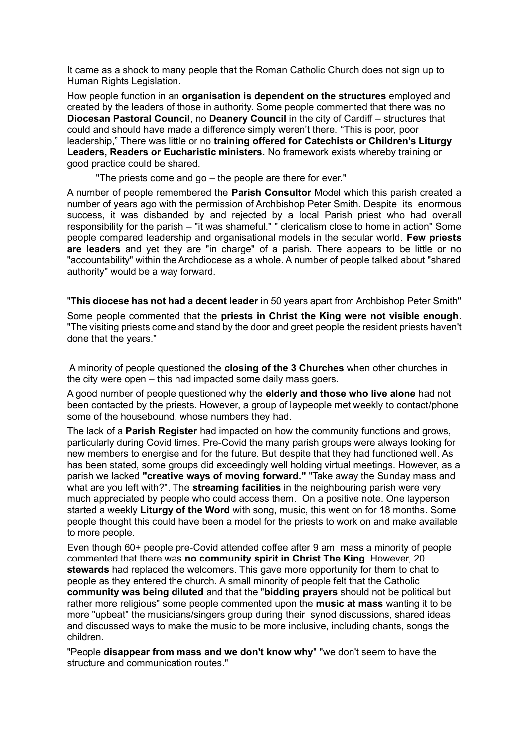It came as a shock to many people that the Roman Catholic Church does not sign up to Human Rights Legislation.

How people function in an **organisation is dependent on the structures** employed and created by the leaders of those in authority. Some people commented that there was no **Diocesan Pastoral Council**, no **Deanery Council** in the city of Cardiff – structures that could and should have made a difference simply weren't there. "This is poor, poor leadership," There was little or no **training offered for Catechists or Children's Liturgy Leaders, Readers or Eucharistic ministers.** No framework exists whereby training or good practice could be shared.

"The priests come and go – the people are there for ever."

A number of people remembered the **Parish Consultor** Model which this parish created a number of years ago with the permission of Archbishop Peter Smith. Despite its enormous success, it was disbanded by and rejected by a local Parish priest who had overall responsibility for the parish – "it was shameful." " clericalism close to home in action" Some people compared leadership and organisational models in the secular world. **Few priests are leaders** and yet they are "in charge" of a parish. There appears to be little or no "accountability" within the Archdiocese as a whole. A number of people talked about "shared authority" would be a way forward.

"**This diocese has not had a decent leader** in 50 years apart from Archbishop Peter Smith"

Some people commented that the **priests in Christ the King were not visible enough**. "The visiting priests come and stand by the door and greet people the resident priests haven't done that the years."

A minority of people questioned the **closing of the 3 Churches** when other churches in the city were open – this had impacted some daily mass goers.

A good number of people questioned why the **elderly and those who live alone** had not been contacted by the priests. However, a group of laypeople met weekly to contact/phone some of the housebound, whose numbers they had.

The lack of a **Parish Register** had impacted on how the community functions and grows, particularly during Covid times. Pre-Covid the many parish groups were always looking for new members to energise and for the future. But despite that they had functioned well. As has been stated, some groups did exceedingly well holding virtual meetings. However, as a parish we lacked **"creative ways of moving forward."** "Take away the Sunday mass and what are you left with?". The **streaming facilities** in the neighbouring parish were very much appreciated by people who could access them. On a positive note. One layperson started a weekly **Liturgy of the Word** with song, music, this went on for 18 months. Some people thought this could have been a model for the priests to work on and make available to more people.

Even though 60+ people pre-Covid attended coffee after 9 am mass a minority of people commented that there was **no community spirit in Christ The King**. However, 20 **stewards** had replaced the welcomers. This gave more opportunity for them to chat to people as they entered the church. A small minority of people felt that the Catholic **community was being diluted** and that the "**bidding prayers** should not be political but rather more religious" some people commented upon the **music at mass** wanting it to be more "upbeat" the musicians/singers group during their synod discussions, shared ideas and discussed ways to make the music to be more inclusive, including chants, songs the children.

"People **disappear from mass and we don't know why**" "we don't seem to have the structure and communication routes."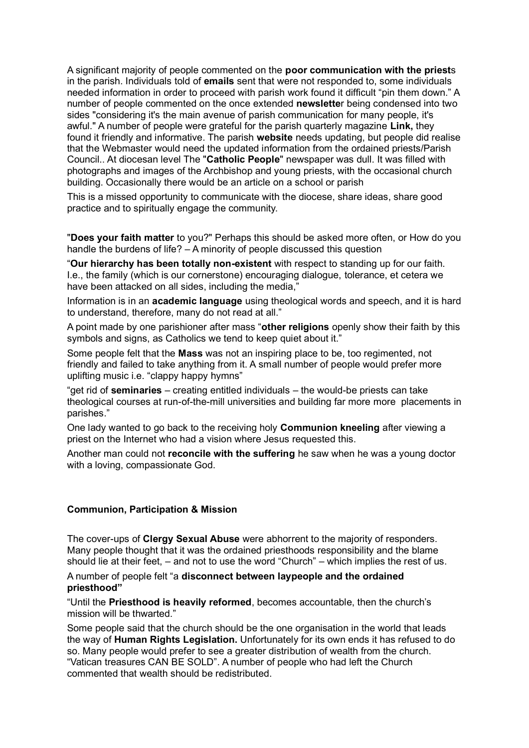A significant majority of people commented on the **poor communication with the priest**s in the parish. Individuals told of **emails** sent that were not responded to, some individuals needed information in order to proceed with parish work found it difficult "pin them down." A number of people commented on the once extended **newslette**r being condensed into two sides "considering it's the main avenue of parish communication for many people, it's awful." A number of people were grateful for the parish quarterly magazine **Link,** they found it friendly and informative. The parish **website** needs updating, but people did realise that the Webmaster would need the updated information from the ordained priests/Parish Council.. At diocesan level The "**Catholic People**" newspaper was dull. It was filled with photographs and images of the Archbishop and young priests, with the occasional church building. Occasionally there would be an article on a school or parish

This is a missed opportunity to communicate with the diocese, share ideas, share good practice and to spiritually engage the community.

"**Does your faith matter** to you?" Perhaps this should be asked more often, or How do you handle the burdens of life? – A minority of people discussed this question

"**Our hierarchy has been totally non-existent** with respect to standing up for our faith. I.e., the family (which is our cornerstone) encouraging dialogue, tolerance, et cetera we have been attacked on all sides, including the media,"

Information is in an **academic language** using theological words and speech, and it is hard to understand, therefore, many do not read at all."

A point made by one parishioner after mass "**other religions** openly show their faith by this symbols and signs, as Catholics we tend to keep quiet about it."

Some people felt that the **Mass** was not an inspiring place to be, too regimented, not friendly and failed to take anything from it. A small number of people would prefer more uplifting music i.e. "clappy happy hymns"

"get rid of **seminaries** – creating entitled individuals – the would-be priests can take theological courses at run-of-the-mill universities and building far more more placements in parishes."

One lady wanted to go back to the receiving holy **Communion kneeling** after viewing a priest on the Internet who had a vision where Jesus requested this.

Another man could not **reconcile with the suffering** he saw when he was a young doctor with a loving, compassionate God.

#### **Communion, Participation & Mission**

The cover-ups of **Clergy Sexual Abuse** were abhorrent to the majority of responders. Many people thought that it was the ordained priesthoods responsibility and the blame should lie at their feet, – and not to use the word "Church" – which implies the rest of us.

#### A number of people felt "a **disconnect between laypeople and the ordained priesthood"**

"Until the **Priesthood is heavily reformed**, becomes accountable, then the church's mission will be thwarted."

Some people said that the church should be the one organisation in the world that leads the way of **Human Rights Legislation.** Unfortunately for its own ends it has refused to do so. Many people would prefer to see a greater distribution of wealth from the church. "Vatican treasures CAN BE SOLD". A number of people who had left the Church commented that wealth should be redistributed.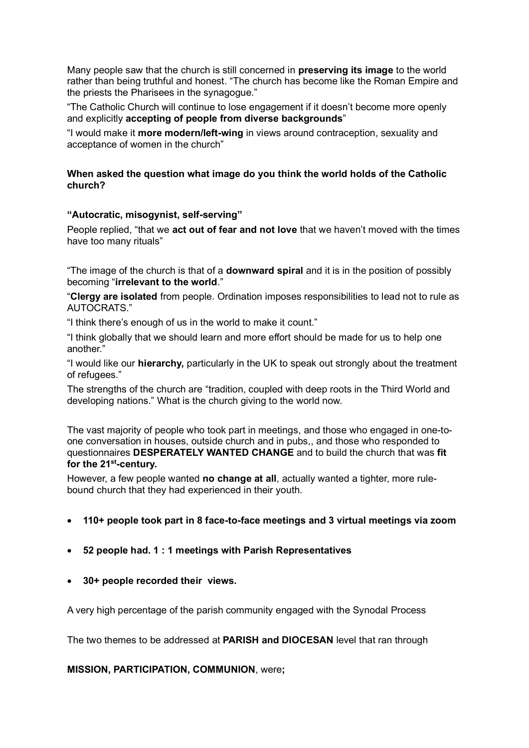Many people saw that the church is still concerned in **preserving its image** to the world rather than being truthful and honest. "The church has become like the Roman Empire and the priests the Pharisees in the synagogue."

"The Catholic Church will continue to lose engagement if it doesn't become more openly and explicitly **accepting of people from diverse backgrounds**"

"I would make it **more modern/left-wing** in views around contraception, sexuality and acceptance of women in the church"

#### **When asked the question what image do you think the world holds of the Catholic church?**

#### **"Autocratic, misogynist, self-serving"**

People replied, "that we **act out of fear and not love** that we haven't moved with the times have too many rituals"

"The image of the church is that of a **downward spiral** and it is in the position of possibly becoming "**irrelevant to the world**."

"**Clergy are isolated** from people. Ordination imposes responsibilities to lead not to rule as AUTOCRATS."

"I think there's enough of us in the world to make it count."

"I think globally that we should learn and more effort should be made for us to help one another."

"I would like our **hierarchy,** particularly in the UK to speak out strongly about the treatment of refugees."

The strengths of the church are "tradition, coupled with deep roots in the Third World and developing nations." What is the church giving to the world now.

The vast majority of people who took part in meetings, and those who engaged in one-toone conversation in houses, outside church and in pubs,, and those who responded to questionnaires **DESPERATELY WANTED CHANGE** and to build the church that was **fit for the 21st -century.**

However, a few people wanted **no change at all**, actually wanted a tighter, more rulebound church that they had experienced in their youth.

- **110+ people took part in 8 face-to-face meetings and 3 virtual meetings via zoom**
- **52 people had. 1 : 1 meetings with Parish Representatives**
- **30+ people recorded their views.**

A very high percentage of the parish community engaged with the Synodal Process

The two themes to be addressed at **PARISH and DIOCESAN** level that ran through

**MISSION, PARTICIPATION, COMMUNION**, were**;**